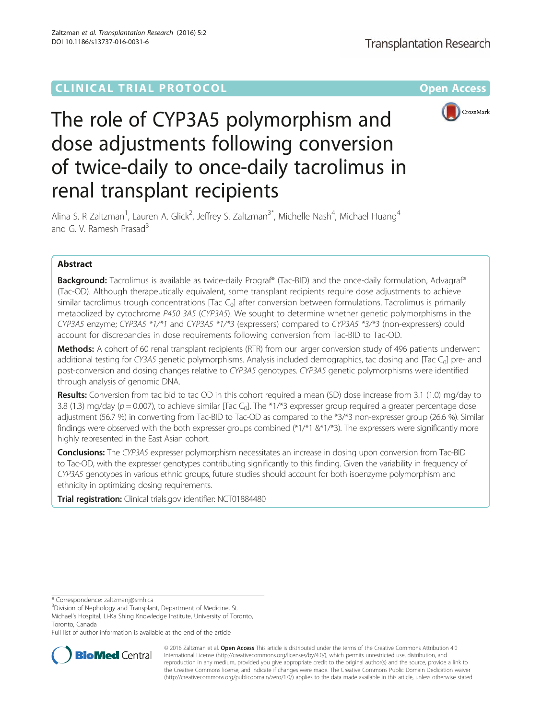## **CLINICAL TRIAL PROTOCOL CLINICAL TRIAL PROTOCOL**



# The role of CYP3A5 polymorphism and dose adjustments following conversion of twice-daily to once-daily tacrolimus in renal transplant recipients

Alina S. R Zaltzman<sup>1</sup>, Lauren A. Glick<sup>2</sup>, Jeffrey S. Zaltzman<sup>3\*</sup>, Michelle Nash<sup>4</sup>, Michael Huang<sup>4</sup> and G. V. Ramesh Prasad<sup>3</sup>

## Abstract

Background: Tacrolimus is available as twice-daily Prograf® (Tac-BID) and the once-daily formulation, Advagraf® (Tac-OD). Although therapeutically equivalent, some transplant recipients require dose adjustments to achieve similar tacrolimus trough concentrations [Tac  $C_0$ ] after conversion between formulations. Tacrolimus is primarily metabolized by cytochrome P450 3A5 (CYP3A5). We sought to determine whether genetic polymorphisms in the CYP3A5 enzyme; CYP3A5 \*1/\*1 and CYP3A5 \*1/\*3 (expressers) compared to CYP3A5 \*3/\*3 (non-expressers) could account for discrepancies in dose requirements following conversion from Tac-BID to Tac-OD.

Methods: A cohort of 60 renal transplant recipients (RTR) from our larger conversion study of 496 patients underwent additional testing for CY3A5 genetic polymorphisms. Analysis included demographics, tac dosing and [Tac  $C_0$ ] pre- and post-conversion and dosing changes relative to CYP3A5 genotypes. CYP3A5 genetic polymorphisms were identified through analysis of genomic DNA.

Results: Conversion from tac bid to tac OD in this cohort required a mean (SD) dose increase from 3.1 (1.0) mg/day to 3.8 (1.3) mg/day ( $p = 0.007$ ), to achieve similar [Tac C<sub>0</sub>]. The \*1/\*3 expresser group required a greater percentage dose adjustment (56.7 %) in converting from Tac-BID to Tac-OD as compared to the \*3/\*3 non-expresser group (26.6 %). Similar findings were observed with the both expresser groups combined (\*1/\*1 &\*1/\*3). The expressers were significantly more highly represented in the East Asian cohort.

**Conclusions:** The CYP3A5 expresser polymorphism necessitates an increase in dosing upon conversion from Tac-BID to Tac-OD, with the expresser genotypes contributing significantly to this finding. Given the variability in frequency of CYP3A5 genotypes in various ethnic groups, future studies should account for both isoenzyme polymorphism and ethnicity in optimizing dosing requirements.

**Trial registration:** Clinical trials.gov identifier: [NCT01884480](https://clinicaltrials.gov/ct2/show/NCT01884480)

\* Correspondence: [zaltzmanj@smh.ca](mailto:zaltzmanj@smh.ca) <sup>3</sup>

<sup>3</sup> Division of Nephology and Transplant, Department of Medicine, St.

Michael's Hospital, Li-Ka Shing Knowledge Institute, University of Toronto, Toronto, Canada

Full list of author information is available at the end of the article



© 2016 Zaltzman et al. Open Access This article is distributed under the terms of the Creative Commons Attribution 4.0 International License [\(http://creativecommons.org/licenses/by/4.0/](http://creativecommons.org/licenses/by/4.0/)), which permits unrestricted use, distribution, and reproduction in any medium, provided you give appropriate credit to the original author(s) and the source, provide a link to the Creative Commons license, and indicate if changes were made. The Creative Commons Public Domain Dedication waiver [\(http://creativecommons.org/publicdomain/zero/1.0/](http://creativecommons.org/publicdomain/zero/1.0/)) applies to the data made available in this article, unless otherwise stated.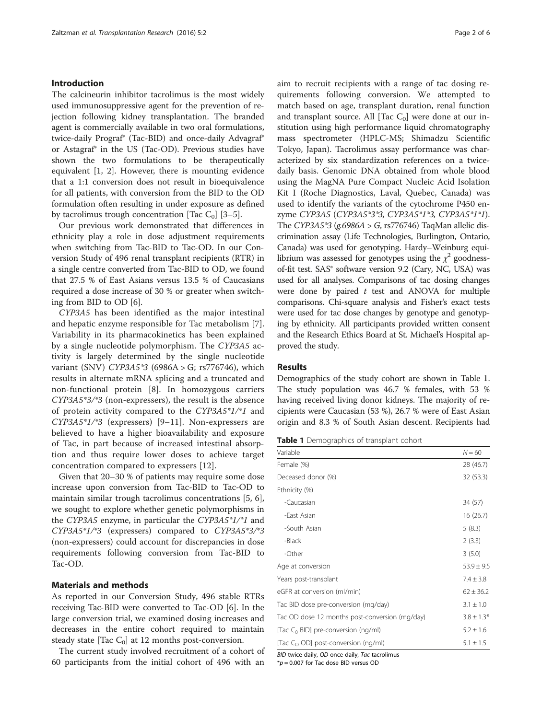## Introduction

The calcineurin inhibitor tacrolimus is the most widely used immunosuppressive agent for the prevention of rejection following kidney transplantation. The branded agent is commercially available in two oral formulations, twice-daily Prograf® (Tac-BID) and once-daily Advagraf® or Astagraf® in the US (Tac-OD). Previous studies have shown the two formulations to be therapeutically equivalent [\[1](#page-4-0), [2\]](#page-4-0). However, there is mounting evidence that a 1:1 conversion does not result in bioequivalence for all patients, with conversion from the BID to the OD formulation often resulting in under exposure as defined by tacrolimus trough concentration [Tac  $C_0$ ] [\[3](#page-4-0)–[5\]](#page--1-0).

Our previous work demonstrated that differences in ethnicity play a role in dose adjustment requirements when switching from Tac-BID to Tac-OD. In our Conversion Study of 496 renal transplant recipients (RTR) in a single centre converted from Tac-BID to OD, we found that 27.5 % of East Asians versus 13.5 % of Caucasians required a dose increase of 30 % or greater when switching from BID to OD [[6](#page--1-0)].

CYP3A5 has been identified as the major intestinal and hepatic enzyme responsible for Tac metabolism [\[7](#page--1-0)]. Variability in its pharmacokinetics has been explained by a single nucleotide polymorphism. The CYP3A5 activity is largely determined by the single nucleotide variant (SNV) CYP3A5\*3 (6986A > G; rs776746), which results in alternate mRNA splicing and a truncated and non-functional protein [\[8](#page--1-0)]. In homozygous carriers CYP3A5\*3/\*3 (non-expressers), the result is the absence of protein activity compared to the CYP3A5\*1/\*1 and CYP3A5\*1/\*3 (expressers) [[9](#page--1-0)–[11](#page--1-0)]. Non-expressers are believed to have a higher bioavailability and exposure of Tac, in part because of increased intestinal absorption and thus require lower doses to achieve target concentration compared to expressers [\[12](#page--1-0)].

Given that 20–30 % of patients may require some dose increase upon conversion from Tac-BID to Tac-OD to maintain similar trough tacrolimus concentrations [\[5](#page--1-0), [6](#page--1-0)], we sought to explore whether genetic polymorphisms in the CYP3A5 enzyme, in particular the CYP3A5\*1/\*1 and CYP3A5\*1/\*3 (expressers) compared to CYP3A5\*3/\*3 (non-expressers) could account for discrepancies in dose requirements following conversion from Tac-BID to Tac-OD.

## Materials and methods

As reported in our Conversion Study, 496 stable RTRs receiving Tac-BID were converted to Tac-OD [[6\]](#page--1-0). In the large conversion trial, we examined dosing increases and decreases in the entire cohort required to maintain steady state [Tac  $C_0$ ] at 12 months post-conversion.

The current study involved recruitment of a cohort of 60 participants from the initial cohort of 496 with an aim to recruit recipients with a range of tac dosing requirements following conversion. We attempted to match based on age, transplant duration, renal function and transplant source. All  $[TaC_0]$  were done at our institution using high performance liquid chromatography mass spectrometer (HPLC-MS; Shimadzu Scientific Tokyo, Japan). Tacrolimus assay performance was characterized by six standardization references on a twicedaily basis. Genomic DNA obtained from whole blood using the MagNA Pure Compact Nucleic Acid Isolation Kit I (Roche Diagnostics, Laval, Quebec, Canada) was used to identify the variants of the cytochrome P450 enzyme CYP3A5 (CYP3A5\*3\*3, CYP3A5\*1\*3, CYP3A5\*1\*1). The CYP3A5\*3 (g.6986A > G, rs776746) TaqMan allelic discrimination assay (Life Technologies, Burlington, Ontario, Canada) was used for genotyping. Hardy–Weinburg equilibrium was assessed for genotypes using the  $\chi^2$  goodnessof-fit test. SAS<sup>®</sup> software version 9.2 (Cary, NC, USA) was used for all analyses. Comparisons of tac dosing changes were done by paired  $t$  test and ANOVA for multiple comparisons. Chi-square analysis and Fisher's exact tests were used for tac dose changes by genotype and genotyping by ethnicity. All participants provided written consent and the Research Ethics Board at St. Michael's Hospital approved the study.

## Results

Demographics of the study cohort are shown in Table 1. The study population was 46.7 % females, with 53 % having received living donor kidneys. The majority of recipients were Caucasian (53 %), 26.7 % were of East Asian origin and 8.3 % of South Asian descent. Recipients had

Table 1 Demographics of transplant cohort

| Variable                                       | $N = 60$       |
|------------------------------------------------|----------------|
| Female (%)                                     | 28 (46.7)      |
| Deceased donor (%)                             | 32 (53.3)      |
| Ethnicity (%)                                  |                |
| -Caucasian                                     | 34 (57)        |
| -Fast Asian                                    | 16(26.7)       |
| -South Asian                                   | 5(8.3)         |
| -Black                                         | 2(3.3)         |
| -Other                                         | 3(5.0)         |
| Age at conversion                              | $53.9 \pm 9.5$ |
| Years post-transplant                          | $7.4 \pm 3.8$  |
| eGFR at conversion (ml/min)                    | $62 \pm 36.2$  |
| Tac BID dose pre-conversion (mg/day)           | $3.1 \pm 1.0$  |
| Tac OD dose 12 months post-conversion (mg/day) | $3.8 \pm 1.3*$ |
| [Tac $C_0$ BID] pre-conversion (ng/ml)         | $5.2 \pm 1.6$  |
| [Tac $C_0$ OD] post-conversion (ng/ml)         | $5.1 \pm 1.5$  |

BID twice daily, OD once daily, Tac tacrolimus

 $*p = 0.007$  for Tac dose BID versus OD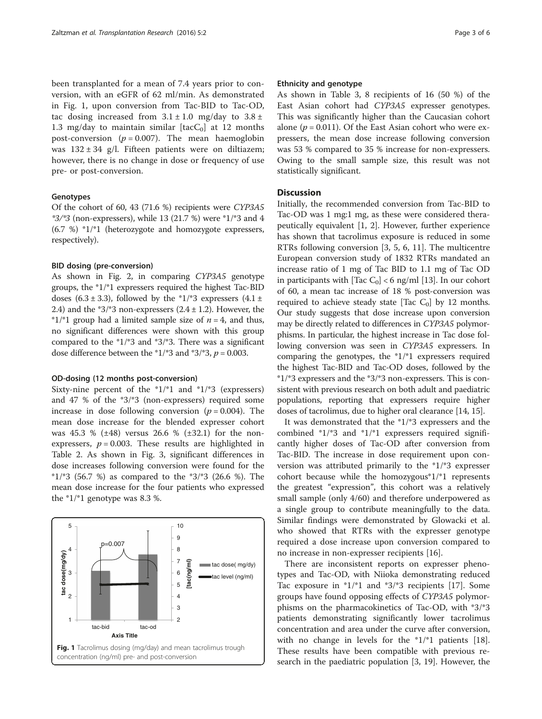been transplanted for a mean of 7.4 years prior to conversion, with an eGFR of 62 ml/min. As demonstrated in Fig. 1, upon conversion from Tac-BID to Tac-OD, tac dosing increased from  $3.1 \pm 1.0$  mg/day to  $3.8 \pm$ 1.3 mg/day to maintain similar  $[tacC<sub>0</sub>]$  at 12 months post-conversion ( $p = 0.007$ ). The mean haemoglobin was  $132 \pm 34$  g/l. Fifteen patients were on diltiazem; however, there is no change in dose or frequency of use pre- or post-conversion.

## Genotypes

Of the cohort of 60, 43 (71.6 %) recipients were CYP3A5  $*3/*3$  (non-expressers), while 13 (21.7 %) were  $*1/*3$  and 4 (6.7 %) \*1/\*1 (heterozygote and homozygote expressers, respectively).

## BID dosing (pre-conversion)

As shown in Fig. [2](#page-3-0), in comparing CYP3A5 genotype groups, the \*1/\*1 expressers required the highest Tac-BID doses  $(6.3 \pm 3.3)$ , followed by the  $*1/*3$  expressers  $(4.1 \pm$ 2.4) and the  $*3/*3$  non-expressers (2.4  $\pm$  1.2). However, the \*1/\*1 group had a limited sample size of  $n = 4$ , and thus, no significant differences were shown with this group compared to the \*1/\*3 and \*3/\*3. There was a significant dose difference between the  $*1/*3$  and  $*3/*3$ ,  $p = 0.003$ .

## OD-dosing (12 months post-conversion)

Sixty-nine percent of the  $*1/*1$  and  $*1/*3$  (expressers) and 47 % of the \*3/\*3 (non-expressers) required some increase in dose following conversion ( $p = 0.004$ ). The mean dose increase for the blended expresser cohort was 45.3 % (±48) versus 26.6 % (±32.1) for the nonexpressers,  $p = 0.003$ . These results are highlighted in Table [2.](#page-3-0) As shown in Fig. [3,](#page-4-0) significant differences in dose increases following conversion were found for the  $*1/*3$  (56.7 %) as compared to the  $*3/*3$  (26.6 %). The mean dose increase for the four patients who expressed the \*1/\*1 genotype was 8.3 %.



## Ethnicity and genotype

As shown in Table [3,](#page-4-0) 8 recipients of 16 (50 %) of the East Asian cohort had CYP3A5 expresser genotypes. This was significantly higher than the Caucasian cohort alone ( $p = 0.011$ ). Of the East Asian cohort who were expressers, the mean dose increase following conversion was 53 % compared to 35 % increase for non-expressers. Owing to the small sample size, this result was not statistically significant.

## **Discussion**

Initially, the recommended conversion from Tac-BID to Tac-OD was 1 mg:1 mg, as these were considered therapeutically equivalent [\[1](#page-4-0), [2\]](#page-4-0). However, further experience has shown that tacrolimus exposure is reduced in some RTRs following conversion [\[3](#page-4-0), [5, 6, 11](#page--1-0)]. The multicentre European conversion study of 1832 RTRs mandated an increase ratio of 1 mg of Tac BID to 1.1 mg of Tac OD in participants with [Tac  $C_0$ ] < 6 ng/ml [\[13\]](#page--1-0). In our cohort of 60, a mean tac increase of 18 % post-conversion was required to achieve steady state [Tac  $C_0$ ] by 12 months. Our study suggests that dose increase upon conversion may be directly related to differences in CYP3A5 polymorphisms. In particular, the highest increase in Tac dose following conversion was seen in CYP3A5 expressers. In comparing the genotypes, the \*1/\*1 expressers required the highest Tac-BID and Tac-OD doses, followed by the  $*1/*3$  expressers and the  $*3/*3$  non-expressers. This is consistent with previous research on both adult and paediatric populations, reporting that expressers require higher doses of tacrolimus, due to higher oral clearance [\[14, 15\]](#page--1-0).

It was demonstrated that the \*1/\*3 expressers and the combined \*1/\*3 and \*1/\*1 expressers required significantly higher doses of Tac-OD after conversion from Tac-BID. The increase in dose requirement upon conversion was attributed primarily to the \*1/\*3 expresser cohort because while the homozygous\*1/\*1 represents the greatest "expression", this cohort was a relatively small sample (only 4/60) and therefore underpowered as a single group to contribute meaningfully to the data. Similar findings were demonstrated by Glowacki et al. who showed that RTRs with the expresser genotype required a dose increase upon conversion compared to no increase in non-expresser recipients [[16](#page--1-0)].

There are inconsistent reports on expresser phenotypes and Tac-OD, with Niioka demonstrating reduced Tac exposure in \*1/\*1 and \*3/\*3 recipients [[17\]](#page--1-0). Some groups have found opposing effects of CYP3A5 polymorphisms on the pharmacokinetics of Tac-OD, with \*3/\*3 patients demonstrating significantly lower tacrolimus concentration and area under the curve after conversion, with no change in levels for the \*1/\*1 patients [\[18](#page--1-0)]. These results have been compatible with previous research in the paediatric population [\[3](#page-4-0), [19\]](#page--1-0). However, the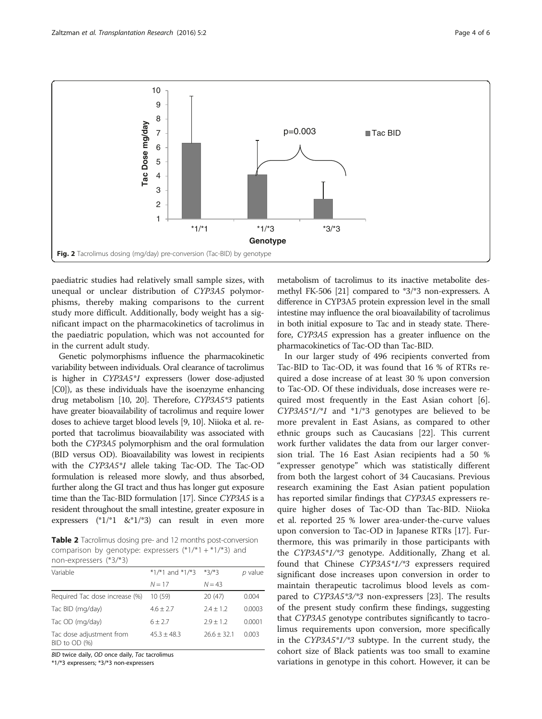<span id="page-3-0"></span>

paediatric studies had relatively small sample sizes, with unequal or unclear distribution of CYP3A5 polymorphisms, thereby making comparisons to the current study more difficult. Additionally, body weight has a significant impact on the pharmacokinetics of tacrolimus in the paediatric population, which was not accounted for in the current adult study.

Genetic polymorphisms influence the pharmacokinetic variability between individuals. Oral clearance of tacrolimus is higher in CYP3A5\*1 expressers (lower dose-adjusted [C0]), as these individuals have the isoenzyme enhancing drug metabolism [\[10](#page--1-0), [20\]](#page--1-0). Therefore, CYP3A5\*3 patients have greater bioavailability of tacrolimus and require lower doses to achieve target blood levels [[9](#page--1-0), [10\]](#page--1-0). Niioka et al. reported that tacrolimus bioavailability was associated with both the CYP3A5 polymorphism and the oral formulation (BID versus OD). Bioavailability was lowest in recipients with the CYP3A5\*1 allele taking Tac-OD. The Tac-OD formulation is released more slowly, and thus absorbed, further along the GI tract and thus has longer gut exposure time than the Tac-BID formulation [\[17\]](#page--1-0). Since CYP3A5 is a resident throughout the small intestine, greater exposure in expressers (\*1/\*1 &\*1/\*3) can result in even more

Table 2 Tacrolimus dosing pre- and 12 months post-conversion comparison by genotype: expressers  $(*1/*1 + *1/*3)$  and non-expressers (\*3/\*3)

| Variable                                  | $*1/*1$ and $*1/*3$ $*3/*3$ |               | p value |
|-------------------------------------------|-----------------------------|---------------|---------|
|                                           | $N = 17$                    | $N = 43$      |         |
| Required Tac dose increase (%)            | 10(59)                      | 20(47)        | 0.004   |
| Tac BID (mg/day)                          | $4.6 \pm 2.7$               | $7.4 + 1.2$   | 0.0003  |
| Tac OD (mg/day)                           | $6 \pm 2.7$                 | $2.9 + 1.2$   | 0.0001  |
| Tac dose adjustment from<br>BID to OD (%) | $45.3 + 48.3$               | $26.6 + 32.1$ | 0.003   |

BID twice daily, OD once daily, Tac tacrolimus

\*1/\*3 expressers; \*3/\*3 non-expressers

metabolism of tacrolimus to its inactive metabolite desmethyl FK-506 [\[21\]](#page--1-0) compared to \*3/\*3 non-expressers. A difference in CYP3A5 protein expression level in the small intestine may influence the oral bioavailability of tacrolimus in both initial exposure to Tac and in steady state. Therefore, CYP3A5 expression has a greater influence on the pharmacokinetics of Tac-OD than Tac-BID.

In our larger study of 496 recipients converted from Tac-BID to Tac-OD, it was found that 16 % of RTRs required a dose increase of at least 30 % upon conversion to Tac-OD. Of these individuals, dose increases were required most frequently in the East Asian cohort [\[6](#page--1-0)]. CYP3A5\*1/\*1 and \*1/\*3 genotypes are believed to be more prevalent in East Asians, as compared to other ethnic groups such as Caucasians [\[22](#page--1-0)]. This current work further validates the data from our larger conversion trial. The 16 East Asian recipients had a 50 % "expresser genotype" which was statistically different from both the largest cohort of 34 Caucasians. Previous research examining the East Asian patient population has reported similar findings that CYP3A5 expressers require higher doses of Tac-OD than Tac-BID. Niioka et al. reported 25 % lower area-under-the-curve values upon conversion to Tac-OD in Japanese RTRs [[17](#page--1-0)]. Furthermore, this was primarily in those participants with the CYP3A5\*1/\*3 genotype. Additionally, Zhang et al. found that Chinese CYP3A5\*1/\*3 expressers required significant dose increases upon conversion in order to maintain therapeutic tacrolimus blood levels as compared to CYP3A5\*3/\*3 non-expressers [\[23](#page--1-0)]. The results of the present study confirm these findings, suggesting that CYP3A5 genotype contributes significantly to tacrolimus requirements upon conversion, more specifically in the CYP3A5\*1/\*3 subtype. In the current study, the cohort size of Black patients was too small to examine variations in genotype in this cohort. However, it can be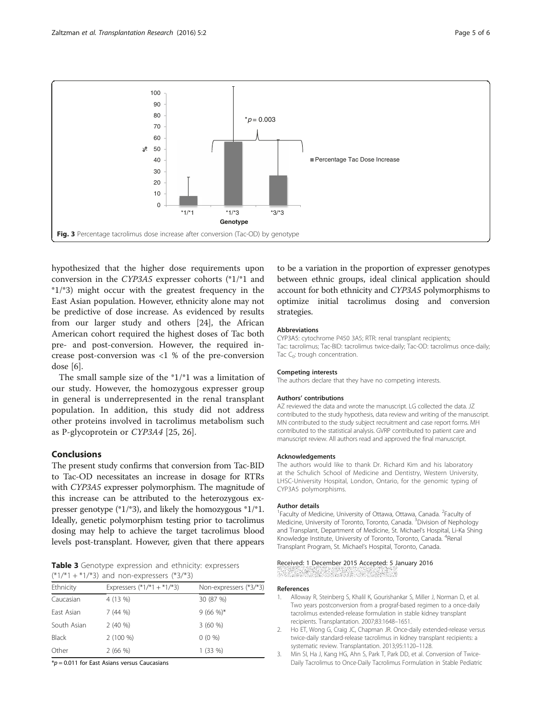<span id="page-4-0"></span>

hypothesized that the higher dose requirements upon conversion in the CYP3A5 expresser cohorts (\*1/\*1 and \*1/\*3) might occur with the greatest frequency in the East Asian population. However, ethnicity alone may not be predictive of dose increase. As evidenced by results from our larger study and others [\[24\]](#page--1-0), the African American cohort required the highest doses of Tac both pre- and post-conversion. However, the required increase post-conversion was <1 % of the pre-conversion dose [\[6](#page--1-0)].

The small sample size of the \*1/\*1 was a limitation of our study. However, the homozygous expresser group in general is underrepresented in the renal transplant population. In addition, this study did not address other proteins involved in tacrolimus metabolism such as P-glycoprotein or CYP3A4 [\[25](#page--1-0), [26\]](#page--1-0).

## Conclusions

The present study confirms that conversion from Tac-BID to Tac-OD necessitates an increase in dosage for RTRs with CYP3A5 expresser polymorphism. The magnitude of this increase can be attributed to the heterozygous expresser genotype (\*1/\*3), and likely the homozygous \*1/\*1. Ideally, genetic polymorphism testing prior to tacrolimus dosing may help to achieve the target tacrolimus blood levels post-transplant. However, given that there appears

Table 3 Genotype expression and ethnicity: expressers  $(*1/*1 + *1/*3)$  and non-expressers  $(*3/*3)$ 

| Ethnicity    | Expressers $(*1/*1 + *1/*3)$ | Non-expressers (*3/*3) |
|--------------|------------------------------|------------------------|
| Caucasian    | 4 (13 %)                     | 30 (87 %)              |
| East Asian   | 7(44%)                       | $9(66\%)*$             |
| South Asian  | 2(40%                        | 3(60%)                 |
| <b>Black</b> | $2(100\%)$                   | $0(0\%)$               |
| Other        | 2(66%)                       | 1(33%)                 |

 $* p = 0.011$  for East Asians versus Caucasians

to be a variation in the proportion of expresser genotypes between ethnic groups, ideal clinical application should account for both ethnicity and CYP3A5 polymorphisms to optimize initial tacrolimus dosing and conversion strategies.

#### Abbreviations

CYP3A5: cytochrome P450 3A5; RTR: renal transplant recipients; Tac: tacrolimus; Tac-BID: tacrolimus twice-daily; Tac-OD: tacrolimus once-daily; Tac  $C_0$ : trough concentration.

#### Competing interests

The authors declare that they have no competing interests.

#### Authors' contributions

AZ reviewed the data and wrote the manuscript. LG collected the data. JZ contributed to the study hypothesis, data review and writing of the manuscript. MN contributed to the study subject recruitment and case report forms. MH contributed to the statistical analysis. GVRP contributed to patient care and manuscript review. All authors read and approved the final manuscript.

#### Acknowledgements

The authors would like to thank Dr. Richard Kim and his laboratory at the Schulich School of Medicine and Dentistry, Western University, LHSC-University Hospital, London, Ontario, for the genomic typing of CYP3A5 polymorphisms.

#### Author details

<sup>1</sup> Faculty of Medicine, University of Ottawa, Ottawa, Canada. <sup>2</sup> Faculty of Medicine, University of Toronto, Toronto, Canada. <sup>3</sup> Division of Nephology and Transplant, Department of Medicine, St. Michael's Hospital, Li-Ka Shing Knowledge Institute, University of Toronto, Toronto, Canada. <sup>4</sup>Renal Transplant Program, St. Michael's Hospital, Toronto, Canada.

#### Received: 1 December 2015 Accepted: 5 January 2016

#### References

- 1. Alloway R, Steinberg S, Khalil K, Gourishankar S, Miller J, Norman D, et al. Two years postconversion from a prograf-based regimen to a once-daily tacrolimus extended-release formulation in stable kidney transplant recipients. Transplantation. 2007;83:1648–1651.
- 2. Ho ET, Wong G, Craig JC, Chapman JR. Once-daily extended-release versus twice-daily standard-release tacrolimus in kidney transplant recipients: a systematic review. Transplantation. 2013;95:1120–1128.
- 3. Min SI, Ha J, Kang HG, Ahn S, Park T, Park DD, et al. Conversion of Twice-Daily Tacrolimus to Once-Daily Tacrolimus Formulation in Stable Pediatric